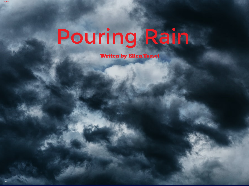## Pouring Rain

Writen by Ellen.Tossel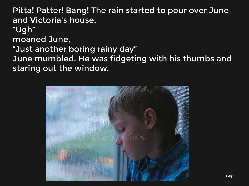Pitta! Patter! Bang! The rain started to pour over June and Victoria's house. "Ugh" moaned June, "Just another boring rainy day" June mumbled. He was fidgeting with his thumbs and staring out the window.

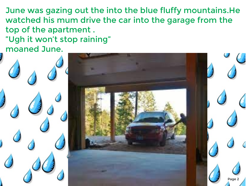June was gazing out the into the blue fluffy mountains.He watched his mum drive the car into the garage from the top of the apartment . "Ugh it won't stop raining"

moaned June.

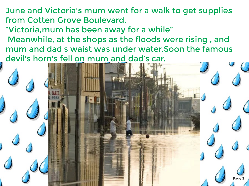June and Victoria's mum went for a walk to get supplies from Cotten Grove Boulevard.

"Victoria,mum has been away for a while"

 Meanwhile, at the shops as the floods were rising , and mum and dad's waist was under water.Soon the famous devil's horn's fell on mum and dad's car.

Page 3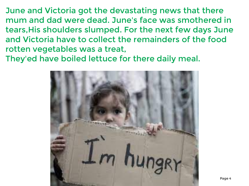June and Victoria got the devastating news that there mum and dad were dead. June's face was smothered in tears,His shoulders slumped. For the next few days June and Victoria have to collect the remainders of the food rotten vegetables was a treat,

They'ed have boiled lettuce for there daily meal.

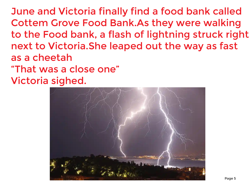June and Victoria finally find a food bank called Cottem Grove Food Bank.As they were walking to the Food bank, a flash of lightning struck right next to Victoria.She leaped out the way as fast as a cheetah "That was a close one" Victoria sighed.

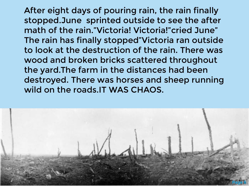After eight days of pouring rain, the rain finally stopped.June sprinted outside to see the after math of the rain."Victoria! Victoria!"cried June" The rain has finally stopped"Victoria ran outside to look at the destruction of the rain. There was wood and broken bricks scattered throughout the yard.The farm in the distances had been destroyed. There was horses and sheep running wild on the roads.IT WAS CHAOS.